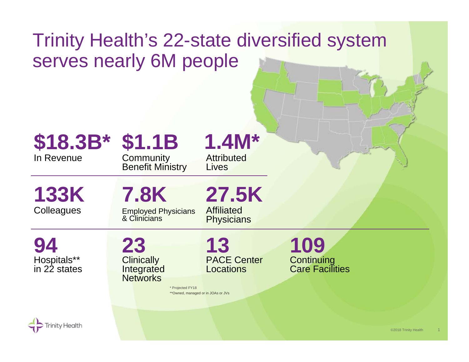## Trinity Health's 22-state diversified system serves nearly 6M people

## In Revenue**\$18.3B\***

## **\$1.1B**

Community Benefit Ministry

## **1.4M\***

Attributed Lives

**Colleagues 133K** 

**7.8K**

Employed Physicians & Clinicians

**27.5K**

Affiliated **Physicians** 

Hospitals\*\* in 22 states**94**

**23 Clinically Integrated Networks** 

PACE CenterLocations**13**

\* Projected FY18 \*\*Owned, managed or in JOAs or JVs **Continuing** Care Facilities **109**

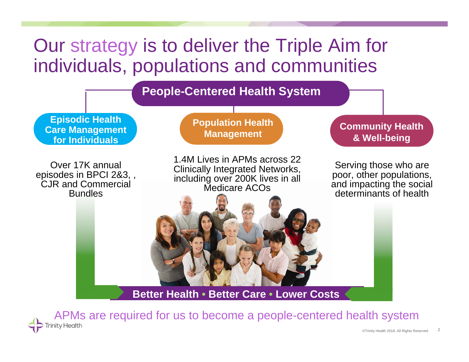

APMs are required for us to become a people-centered health systemtv Health